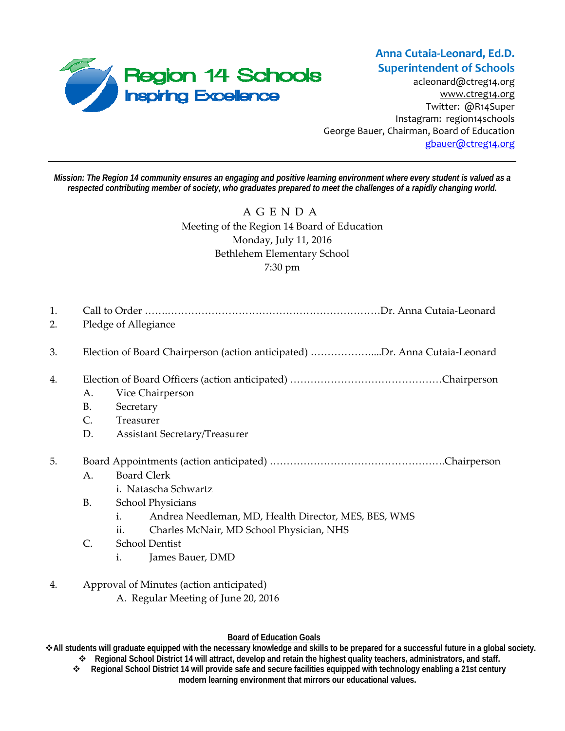

**Anna Cutaia‐Leonard, Ed.D. Superintendent of Schools**

acleonard@ctreg14.org www.ctreg14.org Twitter: @R14Super Instagram: region14schools George Bauer, Chairman, Board of Education gbauer@ctreg14.org

*Mission: The Region 14 community ensures an engaging and positive learning environment where every student is valued as a respected contributing member of society, who graduates prepared to meet the challenges of a rapidly changing world.* 

> AGENDA Meeting of the Region 14 Board of Education Monday, July 11, 2016 Bethlehem Elementary School 7:30 pm

| 1.<br>2. | Pledge of Allegiance                                                       |                                                                                                                                                                                         |
|----------|----------------------------------------------------------------------------|-----------------------------------------------------------------------------------------------------------------------------------------------------------------------------------------|
| 3.       | Election of Board Chairperson (action anticipated) Dr. Anna Cutaia-Leonard |                                                                                                                                                                                         |
| 4.       | А.<br><b>B.</b><br>C.<br>D.                                                | Vice Chairperson<br>Secretary<br>Treasurer<br><b>Assistant Secretary/Treasurer</b>                                                                                                      |
| 5.       | A.<br><b>B.</b>                                                            | <b>Board Clerk</b><br>i. Natascha Schwartz<br><b>School Physicians</b><br>i.<br>Andrea Needleman, MD, Health Director, MES, BES, WMS<br>ii.<br>Charles McNair, MD School Physician, NHS |

- C. School Dentist
	- i. James Bauer, DMD
- 4. Approval of Minutes (action anticipated) A. Regular Meeting of June 20, 2016

## **Board of Education Goals**

**All students will graduate equipped with the necessary knowledge and skills to be prepared for a successful future in a global society.** 

- **Regional School District 14 will attract, develop and retain the highest quality teachers, administrators, and staff.**
- **Regional School District 14 will provide safe and secure facilities equipped with technology enabling a 21st century modern learning environment that mirrors our educational values.**